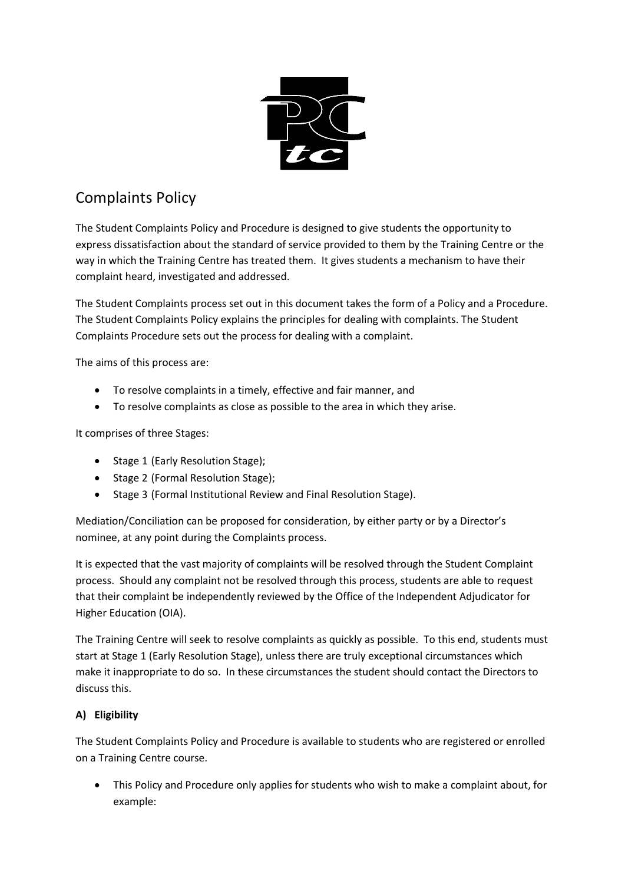

# Complaints Policy

The Student Complaints Policy and Procedure is designed to give students the opportunity to express dissatisfaction about the standard of service provided to them by the Training Centre or the way in which the Training Centre has treated them. It gives students a mechanism to have their complaint heard, investigated and addressed.

The Student Complaints process set out in this document takes the form of a Policy and a Procedure. The Student Complaints Policy explains the principles for dealing with complaints. The Student Complaints Procedure sets out the process for dealing with a complaint.

The aims of this process are:

- To resolve complaints in a timely, effective and fair manner, and
- To resolve complaints as close as possible to the area in which they arise.

It comprises of three Stages:

- Stage 1 (Early Resolution Stage);
- Stage 2 (Formal Resolution Stage);
- Stage 3 (Formal Institutional Review and Final Resolution Stage).

Mediation/Conciliation can be proposed for consideration, by either party or by a Director's nominee, at any point during the Complaints process.

It is expected that the vast majority of complaints will be resolved through the Student Complaint process. Should any complaint not be resolved through this process, students are able to request that their complaint be independently reviewed by the Office of the Independent Adjudicator for Higher Education (OIA).

The Training Centre will seek to resolve complaints as quickly as possible. To this end, students must start at Stage 1 (Early Resolution Stage), unless there are truly exceptional circumstances which make it inappropriate to do so. In these circumstances the student should contact the Directors to discuss this.

## **A) Eligibility**

The Student Complaints Policy and Procedure is available to students who are registered or enrolled on a Training Centre course.

• This Policy and Procedure only applies for students who wish to make a complaint about, for example: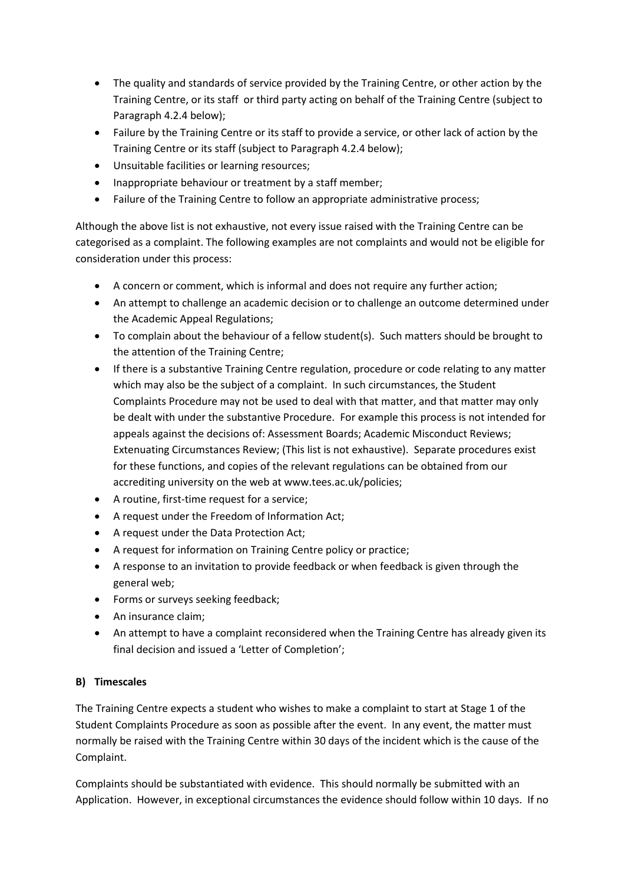- The quality and standards of service provided by the Training Centre, or other action by the Training Centre, or its staff or third party acting on behalf of the Training Centre (subject to Paragraph 4.2.4 below);
- Failure by the Training Centre or its staff to provide a service, or other lack of action by the Training Centre or its staff (subject to Paragraph 4.2.4 below);
- Unsuitable facilities or learning resources;
- Inappropriate behaviour or treatment by a staff member;
- Failure of the Training Centre to follow an appropriate administrative process;

Although the above list is not exhaustive, not every issue raised with the Training Centre can be categorised as a complaint. The following examples are not complaints and would not be eligible for consideration under this process:

- A concern or comment, which is informal and does not require any further action;
- An attempt to challenge an academic decision or to challenge an outcome determined under the Academic Appeal Regulations;
- To complain about the behaviour of a fellow student(s). Such matters should be brought to the attention of the Training Centre;
- If there is a substantive Training Centre regulation, procedure or code relating to any matter which may also be the subject of a complaint. In such circumstances, the Student Complaints Procedure may not be used to deal with that matter, and that matter may only be dealt with under the substantive Procedure. For example this process is not intended for appeals against the decisions of: Assessment Boards; Academic Misconduct Reviews; Extenuating Circumstances Review; (This list is not exhaustive). Separate procedures exist for these functions, and copies of the relevant regulations can be obtained from our accrediting university on the web at www.tees.ac.uk/policies;
- A routine, first-time request for a service;
- A request under the Freedom of Information Act;
- A request under the Data Protection Act;
- A request for information on Training Centre policy or practice;
- A response to an invitation to provide feedback or when feedback is given through the general web;
- Forms or surveys seeking feedback;
- An insurance claim;
- An attempt to have a complaint reconsidered when the Training Centre has already given its final decision and issued a 'Letter of Completion';

#### **B) Timescales**

The Training Centre expects a student who wishes to make a complaint to start at Stage 1 of the Student Complaints Procedure as soon as possible after the event. In any event, the matter must normally be raised with the Training Centre within 30 days of the incident which is the cause of the Complaint.

Complaints should be substantiated with evidence. This should normally be submitted with an Application. However, in exceptional circumstances the evidence should follow within 10 days. If no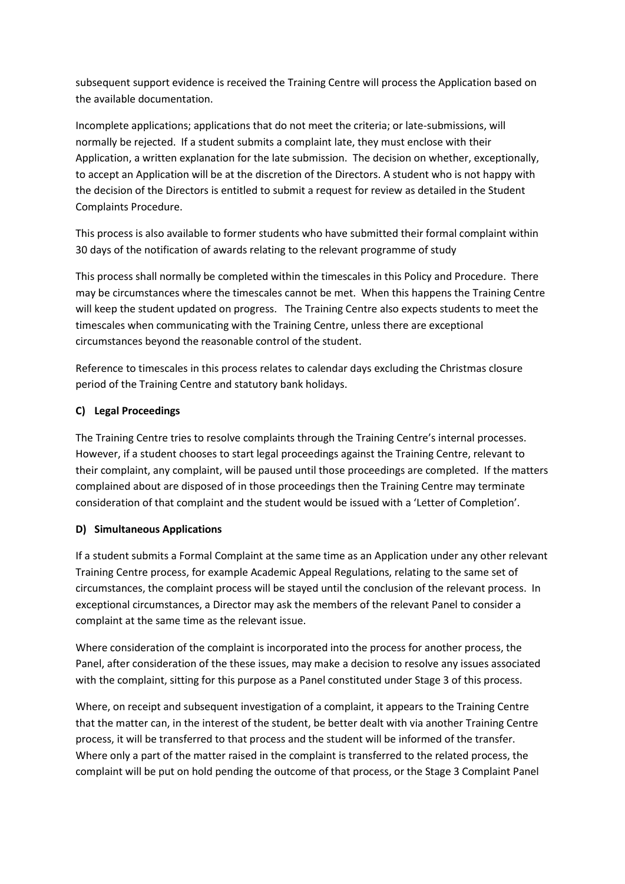subsequent support evidence is received the Training Centre will process the Application based on the available documentation.

Incomplete applications; applications that do not meet the criteria; or late-submissions, will normally be rejected. If a student submits a complaint late, they must enclose with their Application, a written explanation for the late submission. The decision on whether, exceptionally, to accept an Application will be at the discretion of the Directors. A student who is not happy with the decision of the Directors is entitled to submit a request for review as detailed in the Student Complaints Procedure.

This process is also available to former students who have submitted their formal complaint within 30 days of the notification of awards relating to the relevant programme of study

This process shall normally be completed within the timescales in this Policy and Procedure. There may be circumstances where the timescales cannot be met. When this happens the Training Centre will keep the student updated on progress. The Training Centre also expects students to meet the timescales when communicating with the Training Centre, unless there are exceptional circumstances beyond the reasonable control of the student.

Reference to timescales in this process relates to calendar days excluding the Christmas closure period of the Training Centre and statutory bank holidays.

## **C) Legal Proceedings**

The Training Centre tries to resolve complaints through the Training Centre's internal processes. However, if a student chooses to start legal proceedings against the Training Centre, relevant to their complaint, any complaint, will be paused until those proceedings are completed. If the matters complained about are disposed of in those proceedings then the Training Centre may terminate consideration of that complaint and the student would be issued with a 'Letter of Completion'.

#### **D) Simultaneous Applications**

If a student submits a Formal Complaint at the same time as an Application under any other relevant Training Centre process, for example Academic Appeal Regulations, relating to the same set of circumstances, the complaint process will be stayed until the conclusion of the relevant process. In exceptional circumstances, a Director may ask the members of the relevant Panel to consider a complaint at the same time as the relevant issue.

Where consideration of the complaint is incorporated into the process for another process, the Panel, after consideration of the these issues, may make a decision to resolve any issues associated with the complaint, sitting for this purpose as a Panel constituted under Stage 3 of this process.

Where, on receipt and subsequent investigation of a complaint, it appears to the Training Centre that the matter can, in the interest of the student, be better dealt with via another Training Centre process, it will be transferred to that process and the student will be informed of the transfer. Where only a part of the matter raised in the complaint is transferred to the related process, the complaint will be put on hold pending the outcome of that process, or the Stage 3 Complaint Panel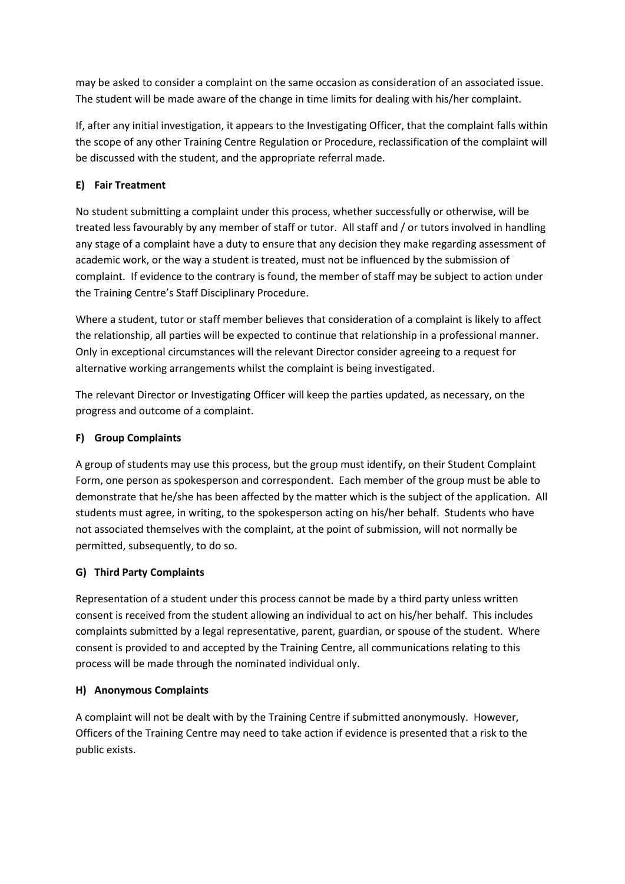may be asked to consider a complaint on the same occasion as consideration of an associated issue. The student will be made aware of the change in time limits for dealing with his/her complaint.

If, after any initial investigation, it appears to the Investigating Officer, that the complaint falls within the scope of any other Training Centre Regulation or Procedure, reclassification of the complaint will be discussed with the student, and the appropriate referral made.

## **E) Fair Treatment**

No student submitting a complaint under this process, whether successfully or otherwise, will be treated less favourably by any member of staff or tutor. All staff and / or tutors involved in handling any stage of a complaint have a duty to ensure that any decision they make regarding assessment of academic work, or the way a student is treated, must not be influenced by the submission of complaint. If evidence to the contrary is found, the member of staff may be subject to action under the Training Centre's Staff Disciplinary Procedure.

Where a student, tutor or staff member believes that consideration of a complaint is likely to affect the relationship, all parties will be expected to continue that relationship in a professional manner. Only in exceptional circumstances will the relevant Director consider agreeing to a request for alternative working arrangements whilst the complaint is being investigated.

The relevant Director or Investigating Officer will keep the parties updated, as necessary, on the progress and outcome of a complaint.

#### **F) Group Complaints**

A group of students may use this process, but the group must identify, on their Student Complaint Form, one person as spokesperson and correspondent. Each member of the group must be able to demonstrate that he/she has been affected by the matter which is the subject of the application. All students must agree, in writing, to the spokesperson acting on his/her behalf. Students who have not associated themselves with the complaint, at the point of submission, will not normally be permitted, subsequently, to do so.

#### **G) Third Party Complaints**

Representation of a student under this process cannot be made by a third party unless written consent is received from the student allowing an individual to act on his/her behalf. This includes complaints submitted by a legal representative, parent, guardian, or spouse of the student. Where consent is provided to and accepted by the Training Centre, all communications relating to this process will be made through the nominated individual only.

#### **H) Anonymous Complaints**

A complaint will not be dealt with by the Training Centre if submitted anonymously. However, Officers of the Training Centre may need to take action if evidence is presented that a risk to the public exists.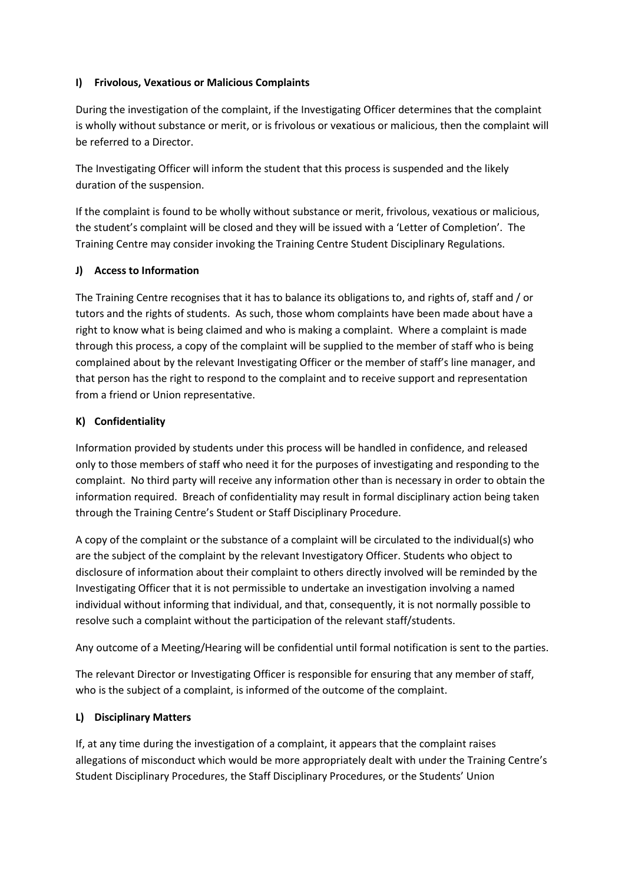#### **I) Frivolous, Vexatious or Malicious Complaints**

During the investigation of the complaint, if the Investigating Officer determines that the complaint is wholly without substance or merit, or is frivolous or vexatious or malicious, then the complaint will be referred to a Director.

The Investigating Officer will inform the student that this process is suspended and the likely duration of the suspension.

If the complaint is found to be wholly without substance or merit, frivolous, vexatious or malicious, the student's complaint will be closed and they will be issued with a 'Letter of Completion'. The Training Centre may consider invoking the Training Centre Student Disciplinary Regulations.

#### **J) Access to Information**

The Training Centre recognises that it has to balance its obligations to, and rights of, staff and / or tutors and the rights of students. As such, those whom complaints have been made about have a right to know what is being claimed and who is making a complaint. Where a complaint is made through this process, a copy of the complaint will be supplied to the member of staff who is being complained about by the relevant Investigating Officer or the member of staff's line manager, and that person has the right to respond to the complaint and to receive support and representation from a friend or Union representative.

## **K) Confidentiality**

Information provided by students under this process will be handled in confidence, and released only to those members of staff who need it for the purposes of investigating and responding to the complaint. No third party will receive any information other than is necessary in order to obtain the information required. Breach of confidentiality may result in formal disciplinary action being taken through the Training Centre's Student or Staff Disciplinary Procedure.

A copy of the complaint or the substance of a complaint will be circulated to the individual(s) who are the subject of the complaint by the relevant Investigatory Officer. Students who object to disclosure of information about their complaint to others directly involved will be reminded by the Investigating Officer that it is not permissible to undertake an investigation involving a named individual without informing that individual, and that, consequently, it is not normally possible to resolve such a complaint without the participation of the relevant staff/students.

Any outcome of a Meeting/Hearing will be confidential until formal notification is sent to the parties.

The relevant Director or Investigating Officer is responsible for ensuring that any member of staff, who is the subject of a complaint, is informed of the outcome of the complaint.

#### **L) Disciplinary Matters**

If, at any time during the investigation of a complaint, it appears that the complaint raises allegations of misconduct which would be more appropriately dealt with under the Training Centre's Student Disciplinary Procedures, the Staff Disciplinary Procedures, or the Students' Union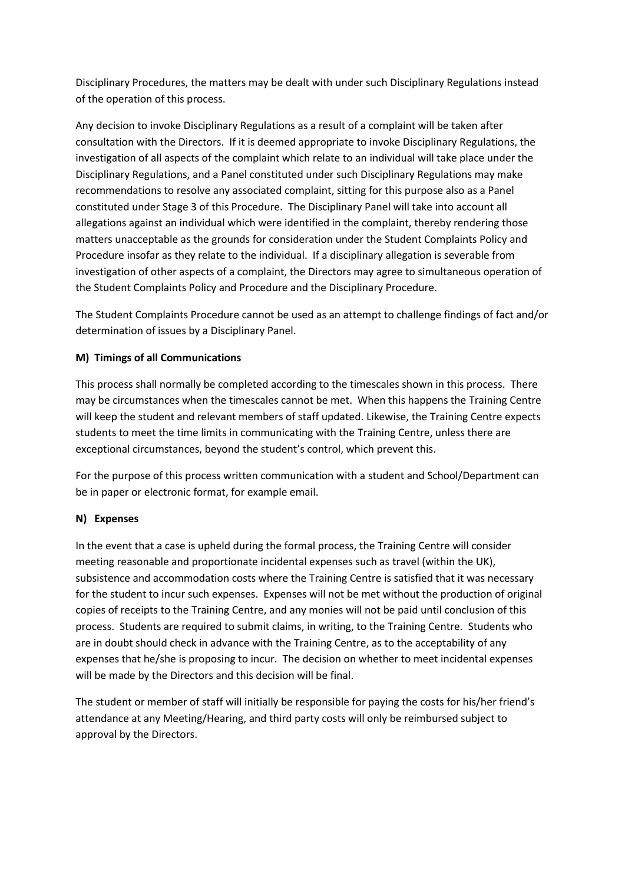Disciplinary Procedures, the matters may be dealt with under such Disciplinary Regulations instead of the operation of this process.

Any decision to invoke Disciplinary Regulations as a result of a complaint will be taken after consultation with the Directors. If it is deemed appropriate to invoke Disciplinary Regulations, the investigation of all aspects of the complaint which relate to an individual will take place under the Disciplinary Regulations, and a Panel constituted under such Disciplinary Regulations may make recommendations to resolve any associated complaint, sitting for this purpose also as a Panel constituted under Stage 3 of this Procedure. The Disciplinary Panel will take into account all allegations against an individual which were identified in the complaint, thereby rendering those matters unacceptable as the grounds for consideration under the Student Complaints Policy and Procedure insofar as they relate to the individual. If a disciplinary allegation is severable from investigation of other aspects of a complaint, the Directors may agree to simultaneous operation of the Student Complaints Policy and Procedure and the Disciplinary Procedure.

The Student Complaints Procedure cannot be used as an attempt to challenge findings of fact and/or determination of issues by a Disciplinary Panel.

#### **M) Timings of all Communications**

This process shall normally be completed according to the timescales shown in this process. There may be circumstances when the timescales cannot be met. When this happens the Training Centre will keep the student and relevant members of staff updated. Likewise, the Training Centre expects students to meet the time limits in communicating with the Training Centre, unless there are exceptional circumstances, beyond the student's control, which prevent this.

For the purpose of this process written communication with a student and School/Department can be in paper or electronic format, for example email.

#### **N) Expenses**

In the event that a case is upheld during the formal process, the Training Centre will consider meeting reasonable and proportionate incidental expenses such as travel (within the UK), subsistence and accommodation costs where the Training Centre is satisfied that it was necessary for the student to incur such expenses. Expenses will not be met without the production of original copies of receipts to the Training Centre, and any monies will not be paid until conclusion of this process. Students are required to submit claims, in writing, to the Training Centre. Students who are in doubt should check in advance with the Training Centre, as to the acceptability of any expenses that he/she is proposing to incur. The decision on whether to meet incidental expenses will be made by the Directors and this decision will be final.

The student or member of staff will initially be responsible for paying the costs for his/her friend's attendance at any Meeting/Hearing, and third party costs will only be reimbursed subject to approval by the Directors.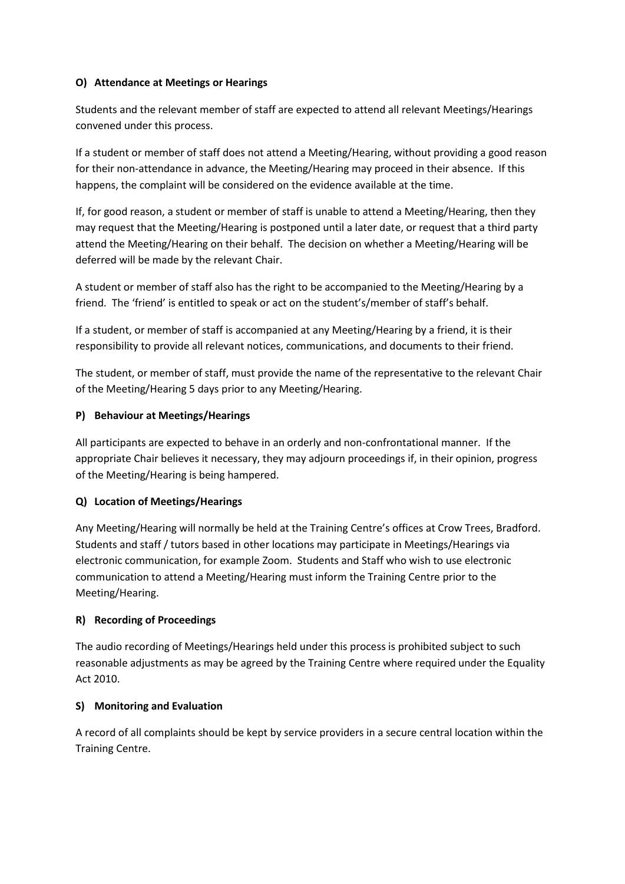#### **O) Attendance at Meetings or Hearings**

Students and the relevant member of staff are expected to attend all relevant Meetings/Hearings convened under this process.

If a student or member of staff does not attend a Meeting/Hearing, without providing a good reason for their non-attendance in advance, the Meeting/Hearing may proceed in their absence. If this happens, the complaint will be considered on the evidence available at the time.

If, for good reason, a student or member of staff is unable to attend a Meeting/Hearing, then they may request that the Meeting/Hearing is postponed until a later date, or request that a third party attend the Meeting/Hearing on their behalf. The decision on whether a Meeting/Hearing will be deferred will be made by the relevant Chair.

A student or member of staff also has the right to be accompanied to the Meeting/Hearing by a friend. The 'friend' is entitled to speak or act on the student's/member of staff's behalf.

If a student, or member of staff is accompanied at any Meeting/Hearing by a friend, it is their responsibility to provide all relevant notices, communications, and documents to their friend.

The student, or member of staff, must provide the name of the representative to the relevant Chair of the Meeting/Hearing 5 days prior to any Meeting/Hearing.

#### **P) Behaviour at Meetings/Hearings**

All participants are expected to behave in an orderly and non-confrontational manner. If the appropriate Chair believes it necessary, they may adjourn proceedings if, in their opinion, progress of the Meeting/Hearing is being hampered.

#### **Q) Location of Meetings/Hearings**

Any Meeting/Hearing will normally be held at the Training Centre's offices at Crow Trees, Bradford. Students and staff / tutors based in other locations may participate in Meetings/Hearings via electronic communication, for example Zoom. Students and Staff who wish to use electronic communication to attend a Meeting/Hearing must inform the Training Centre prior to the Meeting/Hearing.

#### **R) Recording of Proceedings**

The audio recording of Meetings/Hearings held under this process is prohibited subject to such reasonable adjustments as may be agreed by the Training Centre where required under the Equality Act 2010.

#### **S) Monitoring and Evaluation**

A record of all complaints should be kept by service providers in a secure central location within the Training Centre.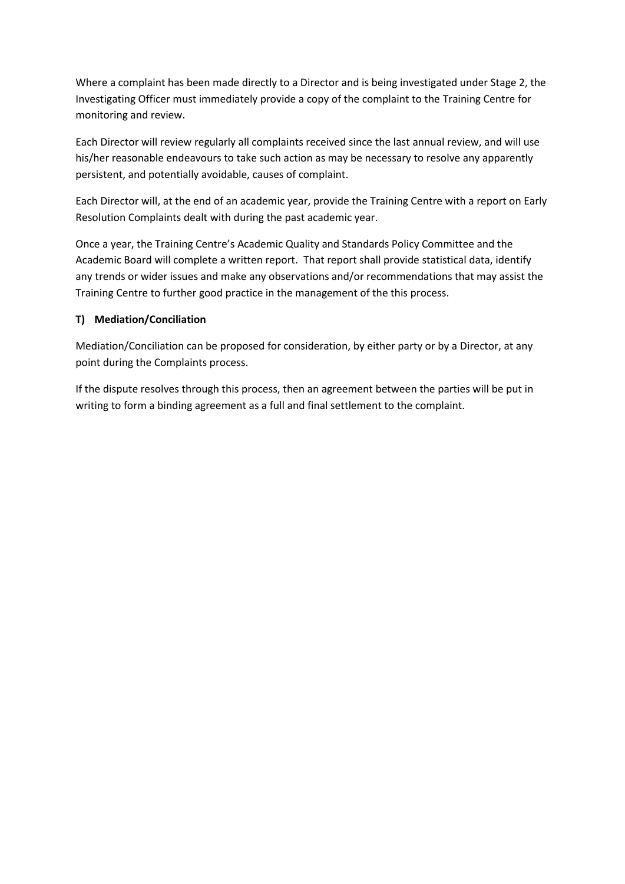Where a complaint has been made directly to a Director and is being investigated under Stage 2, the Investigating Officer must immediately provide a copy of the complaint to the Training Centre for monitoring and review.

Each Director will review regularly all complaints received since the last annual review, and will use his/her reasonable endeavours to take such action as may be necessary to resolve any apparently persistent, and potentially avoidable, causes of complaint.

Each Director will, at the end of an academic year, provide the Training Centre with a report on Early Resolution Complaints dealt with during the past academic year.

Once a year, the Training Centre's Academic Quality and Standards Policy Committee and the Academic Board will complete a written report. That report shall provide statistical data, identify any trends or wider issues and make any observations and/or recommendations that may assist the Training Centre to further good practice in the management of the this process.

#### **T) Mediation/Conciliation**

Mediation/Conciliation can be proposed for consideration, by either party or by a Director, at any point during the Complaints process.

If the dispute resolves through this process, then an agreement between the parties will be put in writing to form a binding agreement as a full and final settlement to the complaint.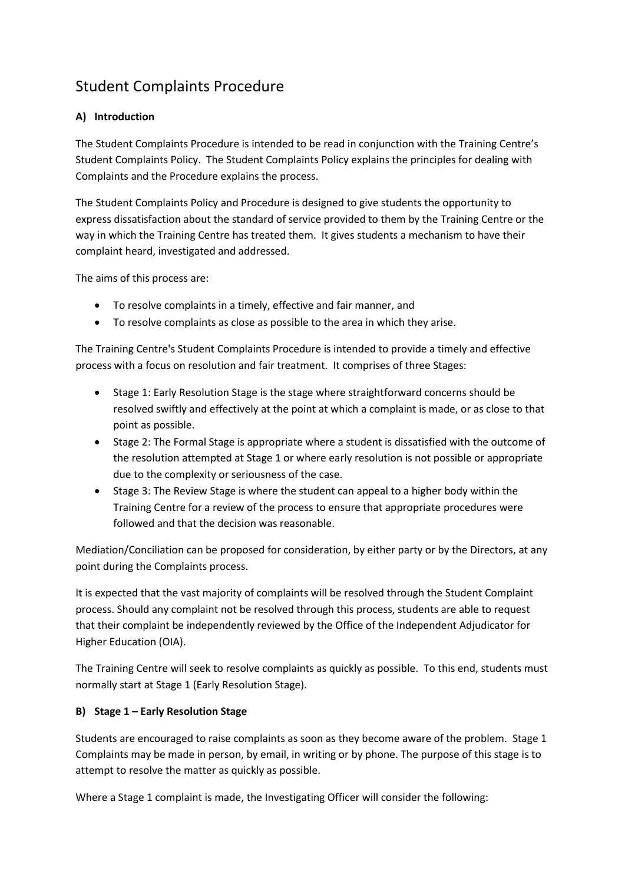## Student Complaints Procedure

## **A) Introduction**

The Student Complaints Procedure is intended to be read in conjunction with the Training Centre's Student Complaints Policy. The Student Complaints Policy explains the principles for dealing with Complaints and the Procedure explains the process.

The Student Complaints Policy and Procedure is designed to give students the opportunity to express dissatisfaction about the standard of service provided to them by the Training Centre or the way in which the Training Centre has treated them. It gives students a mechanism to have their complaint heard, investigated and addressed.

The aims of this process are:

- To resolve complaints in a timely, effective and fair manner, and
- To resolve complaints as close as possible to the area in which they arise.

The Training Centre's Student Complaints Procedure is intended to provide a timely and effective process with a focus on resolution and fair treatment. It comprises of three Stages:

- Stage 1: Early Resolution Stage is the stage where straightforward concerns should be resolved swiftly and effectively at the point at which a complaint is made, or as close to that point as possible.
- Stage 2: The Formal Stage is appropriate where a student is dissatisfied with the outcome of the resolution attempted at Stage 1 or where early resolution is not possible or appropriate due to the complexity or seriousness of the case.
- Stage 3: The Review Stage is where the student can appeal to a higher body within the Training Centre for a review of the process to ensure that appropriate procedures were followed and that the decision was reasonable.

Mediation/Conciliation can be proposed for consideration, by either party or by the Directors, at any point during the Complaints process.

It is expected that the vast majority of complaints will be resolved through the Student Complaint process. Should any complaint not be resolved through this process, students are able to request that their complaint be independently reviewed by the Office of the Independent Adjudicator for Higher Education (OIA).

The Training Centre will seek to resolve complaints as quickly as possible. To this end, students must normally start at Stage 1 (Early Resolution Stage).

#### **B) Stage 1 – Early Resolution Stage**

Students are encouraged to raise complaints as soon as they become aware of the problem. Stage 1 Complaints may be made in person, by email, in writing or by phone. The purpose of this stage is to attempt to resolve the matter as quickly as possible.

Where a Stage 1 complaint is made, the Investigating Officer will consider the following: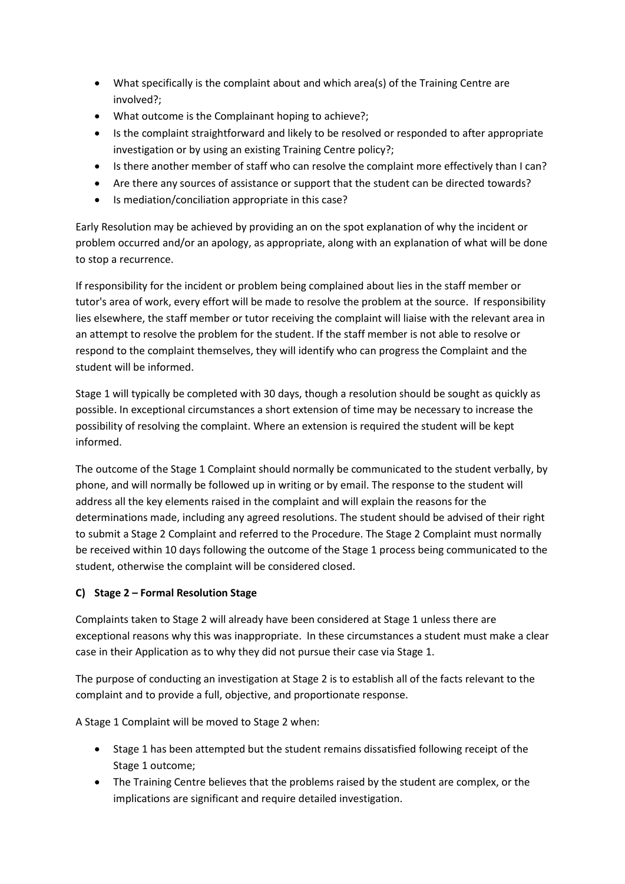- What specifically is the complaint about and which area(s) of the Training Centre are involved?;
- What outcome is the Complainant hoping to achieve?;
- Is the complaint straightforward and likely to be resolved or responded to after appropriate investigation or by using an existing Training Centre policy?;
- Is there another member of staff who can resolve the complaint more effectively than I can?
- Are there any sources of assistance or support that the student can be directed towards?
- Is mediation/conciliation appropriate in this case?

Early Resolution may be achieved by providing an on the spot explanation of why the incident or problem occurred and/or an apology, as appropriate, along with an explanation of what will be done to stop a recurrence.

If responsibility for the incident or problem being complained about lies in the staff member or tutor's area of work, every effort will be made to resolve the problem at the source. If responsibility lies elsewhere, the staff member or tutor receiving the complaint will liaise with the relevant area in an attempt to resolve the problem for the student. If the staff member is not able to resolve or respond to the complaint themselves, they will identify who can progress the Complaint and the student will be informed.

Stage 1 will typically be completed with 30 days, though a resolution should be sought as quickly as possible. In exceptional circumstances a short extension of time may be necessary to increase the possibility of resolving the complaint. Where an extension is required the student will be kept informed.

The outcome of the Stage 1 Complaint should normally be communicated to the student verbally, by phone, and will normally be followed up in writing or by email. The response to the student will address all the key elements raised in the complaint and will explain the reasons for the determinations made, including any agreed resolutions. The student should be advised of their right to submit a Stage 2 Complaint and referred to the Procedure. The Stage 2 Complaint must normally be received within 10 days following the outcome of the Stage 1 process being communicated to the student, otherwise the complaint will be considered closed.

## **C) Stage 2 – Formal Resolution Stage**

Complaints taken to Stage 2 will already have been considered at Stage 1 unless there are exceptional reasons why this was inappropriate. In these circumstances a student must make a clear case in their Application as to why they did not pursue their case via Stage 1.

The purpose of conducting an investigation at Stage 2 is to establish all of the facts relevant to the complaint and to provide a full, objective, and proportionate response.

A Stage 1 Complaint will be moved to Stage 2 when:

- Stage 1 has been attempted but the student remains dissatisfied following receipt of the Stage 1 outcome;
- The Training Centre believes that the problems raised by the student are complex, or the implications are significant and require detailed investigation.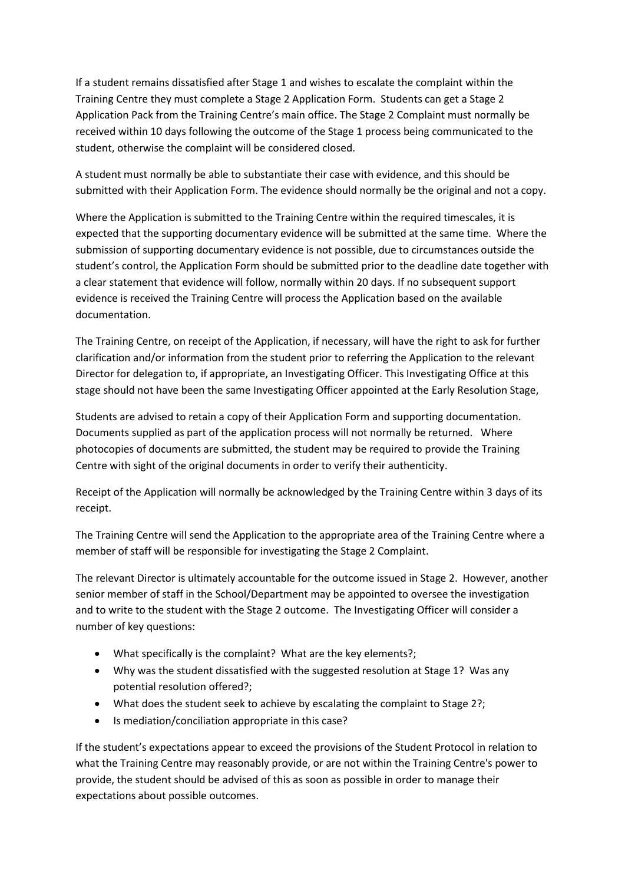If a student remains dissatisfied after Stage 1 and wishes to escalate the complaint within the Training Centre they must complete a Stage 2 Application Form. Students can get a Stage 2 Application Pack from the Training Centre's main office. The Stage 2 Complaint must normally be received within 10 days following the outcome of the Stage 1 process being communicated to the student, otherwise the complaint will be considered closed.

A student must normally be able to substantiate their case with evidence, and this should be submitted with their Application Form. The evidence should normally be the original and not a copy.

Where the Application is submitted to the Training Centre within the required timescales, it is expected that the supporting documentary evidence will be submitted at the same time. Where the submission of supporting documentary evidence is not possible, due to circumstances outside the student's control, the Application Form should be submitted prior to the deadline date together with a clear statement that evidence will follow, normally within 20 days. If no subsequent support evidence is received the Training Centre will process the Application based on the available documentation.

The Training Centre, on receipt of the Application, if necessary, will have the right to ask for further clarification and/or information from the student prior to referring the Application to the relevant Director for delegation to, if appropriate, an Investigating Officer. This Investigating Office at this stage should not have been the same Investigating Officer appointed at the Early Resolution Stage,

Students are advised to retain a copy of their Application Form and supporting documentation. Documents supplied as part of the application process will not normally be returned. Where photocopies of documents are submitted, the student may be required to provide the Training Centre with sight of the original documents in order to verify their authenticity.

Receipt of the Application will normally be acknowledged by the Training Centre within 3 days of its receipt.

The Training Centre will send the Application to the appropriate area of the Training Centre where a member of staff will be responsible for investigating the Stage 2 Complaint.

The relevant Director is ultimately accountable for the outcome issued in Stage 2. However, another senior member of staff in the School/Department may be appointed to oversee the investigation and to write to the student with the Stage 2 outcome. The Investigating Officer will consider a number of key questions:

- What specifically is the complaint? What are the key elements?;
- Why was the student dissatisfied with the suggested resolution at Stage 1? Was any potential resolution offered?;
- What does the student seek to achieve by escalating the complaint to Stage 2?;
- Is mediation/conciliation appropriate in this case?

If the student's expectations appear to exceed the provisions of the Student Protocol in relation to what the Training Centre may reasonably provide, or are not within the Training Centre's power to provide, the student should be advised of this as soon as possible in order to manage their expectations about possible outcomes.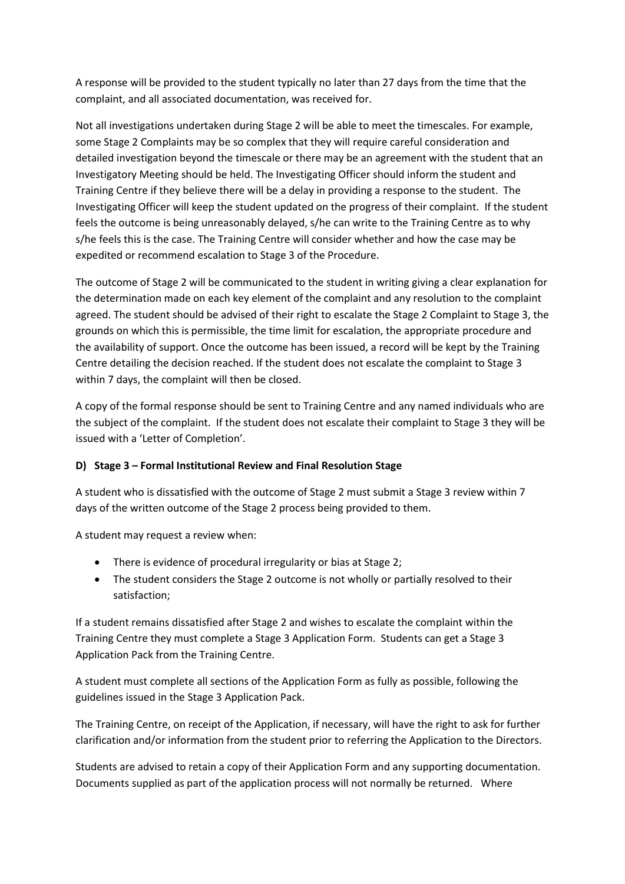A response will be provided to the student typically no later than 27 days from the time that the complaint, and all associated documentation, was received for.

Not all investigations undertaken during Stage 2 will be able to meet the timescales. For example, some Stage 2 Complaints may be so complex that they will require careful consideration and detailed investigation beyond the timescale or there may be an agreement with the student that an Investigatory Meeting should be held. The Investigating Officer should inform the student and Training Centre if they believe there will be a delay in providing a response to the student. The Investigating Officer will keep the student updated on the progress of their complaint. If the student feels the outcome is being unreasonably delayed, s/he can write to the Training Centre as to why s/he feels this is the case. The Training Centre will consider whether and how the case may be expedited or recommend escalation to Stage 3 of the Procedure.

The outcome of Stage 2 will be communicated to the student in writing giving a clear explanation for the determination made on each key element of the complaint and any resolution to the complaint agreed. The student should be advised of their right to escalate the Stage 2 Complaint to Stage 3, the grounds on which this is permissible, the time limit for escalation, the appropriate procedure and the availability of support. Once the outcome has been issued, a record will be kept by the Training Centre detailing the decision reached. If the student does not escalate the complaint to Stage 3 within 7 days, the complaint will then be closed.

A copy of the formal response should be sent to Training Centre and any named individuals who are the subject of the complaint. If the student does not escalate their complaint to Stage 3 they will be issued with a 'Letter of Completion'.

#### **D) Stage 3 – Formal Institutional Review and Final Resolution Stage**

A student who is dissatisfied with the outcome of Stage 2 must submit a Stage 3 review within 7 days of the written outcome of the Stage 2 process being provided to them.

A student may request a review when:

- There is evidence of procedural irregularity or bias at Stage 2;
- The student considers the Stage 2 outcome is not wholly or partially resolved to their satisfaction;

If a student remains dissatisfied after Stage 2 and wishes to escalate the complaint within the Training Centre they must complete a Stage 3 Application Form. Students can get a Stage 3 Application Pack from the Training Centre.

A student must complete all sections of the Application Form as fully as possible, following the guidelines issued in the Stage 3 Application Pack.

The Training Centre, on receipt of the Application, if necessary, will have the right to ask for further clarification and/or information from the student prior to referring the Application to the Directors.

Students are advised to retain a copy of their Application Form and any supporting documentation. Documents supplied as part of the application process will not normally be returned. Where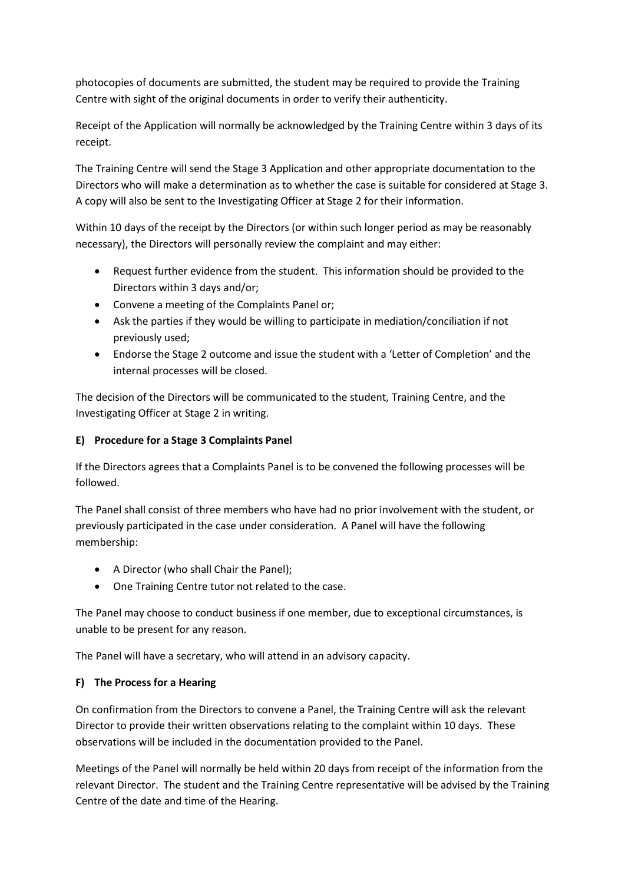photocopies of documents are submitted, the student may be required to provide the Training Centre with sight of the original documents in order to verify their authenticity.

Receipt of the Application will normally be acknowledged by the Training Centre within 3 days of its receipt.

The Training Centre will send the Stage 3 Application and other appropriate documentation to the Directors who will make a determination as to whether the case is suitable for considered at Stage 3. A copy will also be sent to the Investigating Officer at Stage 2 for their information.

Within 10 days of the receipt by the Directors (or within such longer period as may be reasonably necessary), the Directors will personally review the complaint and may either:

- Request further evidence from the student. This information should be provided to the Directors within 3 days and/or;
- Convene a meeting of the Complaints Panel or;
- Ask the parties if they would be willing to participate in mediation/conciliation if not previously used;
- Endorse the Stage 2 outcome and issue the student with a 'Letter of Completion' and the internal processes will be closed.

The decision of the Directors will be communicated to the student, Training Centre, and the Investigating Officer at Stage 2 in writing.

## **E) Procedure for a Stage 3 Complaints Panel**

If the Directors agrees that a Complaints Panel is to be convened the following processes will be followed.

The Panel shall consist of three members who have had no prior involvement with the student, or previously participated in the case under consideration. A Panel will have the following membership:

- A Director (who shall Chair the Panel);
- One Training Centre tutor not related to the case.

The Panel may choose to conduct business if one member, due to exceptional circumstances, is unable to be present for any reason.

The Panel will have a secretary, who will attend in an advisory capacity.

#### **F) The Process for a Hearing**

On confirmation from the Directors to convene a Panel, the Training Centre will ask the relevant Director to provide their written observations relating to the complaint within 10 days. These observations will be included in the documentation provided to the Panel.

Meetings of the Panel will normally be held within 20 days from receipt of the information from the relevant Director. The student and the Training Centre representative will be advised by the Training Centre of the date and time of the Hearing.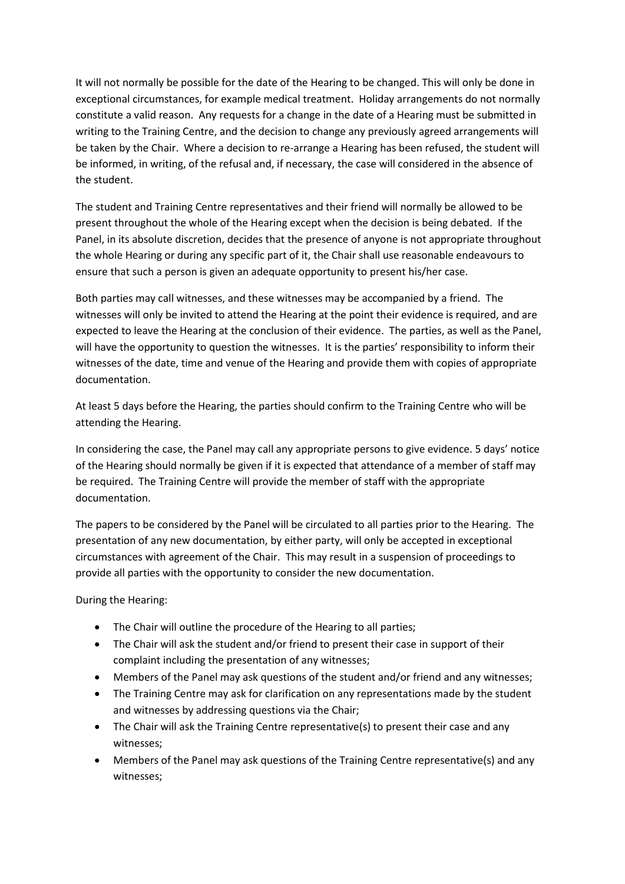It will not normally be possible for the date of the Hearing to be changed. This will only be done in exceptional circumstances, for example medical treatment. Holiday arrangements do not normally constitute a valid reason. Any requests for a change in the date of a Hearing must be submitted in writing to the Training Centre, and the decision to change any previously agreed arrangements will be taken by the Chair. Where a decision to re-arrange a Hearing has been refused, the student will be informed, in writing, of the refusal and, if necessary, the case will considered in the absence of the student.

The student and Training Centre representatives and their friend will normally be allowed to be present throughout the whole of the Hearing except when the decision is being debated. If the Panel, in its absolute discretion, decides that the presence of anyone is not appropriate throughout the whole Hearing or during any specific part of it, the Chair shall use reasonable endeavours to ensure that such a person is given an adequate opportunity to present his/her case.

Both parties may call witnesses, and these witnesses may be accompanied by a friend. The witnesses will only be invited to attend the Hearing at the point their evidence is required, and are expected to leave the Hearing at the conclusion of their evidence. The parties, as well as the Panel, will have the opportunity to question the witnesses. It is the parties' responsibility to inform their witnesses of the date, time and venue of the Hearing and provide them with copies of appropriate documentation.

At least 5 days before the Hearing, the parties should confirm to the Training Centre who will be attending the Hearing.

In considering the case, the Panel may call any appropriate persons to give evidence. 5 days' notice of the Hearing should normally be given if it is expected that attendance of a member of staff may be required. The Training Centre will provide the member of staff with the appropriate documentation.

The papers to be considered by the Panel will be circulated to all parties prior to the Hearing. The presentation of any new documentation, by either party, will only be accepted in exceptional circumstances with agreement of the Chair. This may result in a suspension of proceedings to provide all parties with the opportunity to consider the new documentation.

During the Hearing:

- The Chair will outline the procedure of the Hearing to all parties;
- The Chair will ask the student and/or friend to present their case in support of their complaint including the presentation of any witnesses;
- Members of the Panel may ask questions of the student and/or friend and any witnesses;
- The Training Centre may ask for clarification on any representations made by the student and witnesses by addressing questions via the Chair;
- The Chair will ask the Training Centre representative(s) to present their case and any witnesses;
- Members of the Panel may ask questions of the Training Centre representative(s) and any witnesses;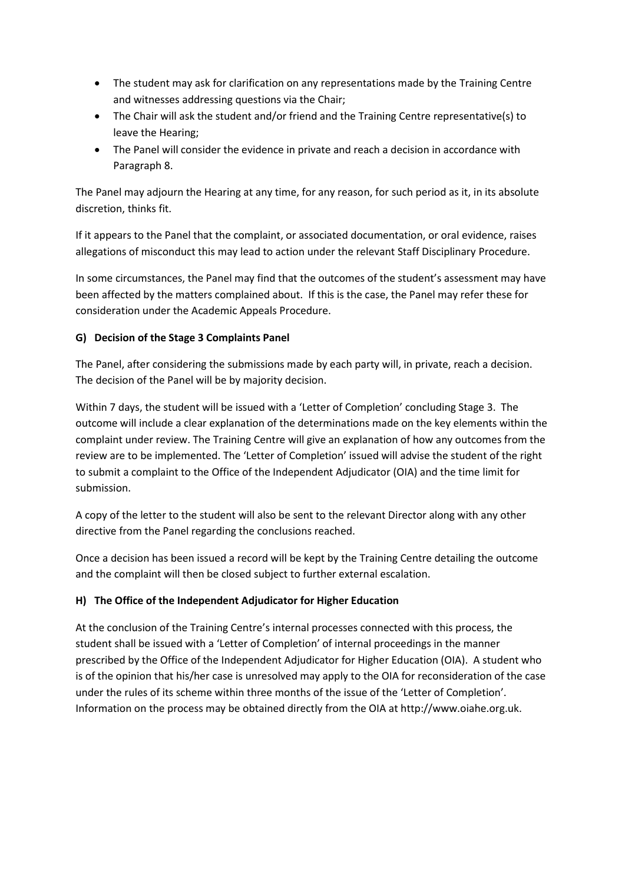- The student may ask for clarification on any representations made by the Training Centre and witnesses addressing questions via the Chair;
- The Chair will ask the student and/or friend and the Training Centre representative(s) to leave the Hearing;
- The Panel will consider the evidence in private and reach a decision in accordance with Paragraph 8.

The Panel may adjourn the Hearing at any time, for any reason, for such period as it, in its absolute discretion, thinks fit.

If it appears to the Panel that the complaint, or associated documentation, or oral evidence, raises allegations of misconduct this may lead to action under the relevant Staff Disciplinary Procedure.

In some circumstances, the Panel may find that the outcomes of the student's assessment may have been affected by the matters complained about. If this is the case, the Panel may refer these for consideration under the Academic Appeals Procedure.

## **G) Decision of the Stage 3 Complaints Panel**

The Panel, after considering the submissions made by each party will, in private, reach a decision. The decision of the Panel will be by majority decision.

Within 7 days, the student will be issued with a 'Letter of Completion' concluding Stage 3. The outcome will include a clear explanation of the determinations made on the key elements within the complaint under review. The Training Centre will give an explanation of how any outcomes from the review are to be implemented. The 'Letter of Completion' issued will advise the student of the right to submit a complaint to the Office of the Independent Adjudicator (OIA) and the time limit for submission.

A copy of the letter to the student will also be sent to the relevant Director along with any other directive from the Panel regarding the conclusions reached.

Once a decision has been issued a record will be kept by the Training Centre detailing the outcome and the complaint will then be closed subject to further external escalation.

#### **H) The Office of the Independent Adjudicator for Higher Education**

At the conclusion of the Training Centre's internal processes connected with this process, the student shall be issued with a 'Letter of Completion' of internal proceedings in the manner prescribed by the Office of the Independent Adjudicator for Higher Education (OIA). A student who is of the opinion that his/her case is unresolved may apply to the OIA for reconsideration of the case under the rules of its scheme within three months of the issue of the 'Letter of Completion'. Information on the process may be obtained directly from the OIA at http://www.oiahe.org.uk.